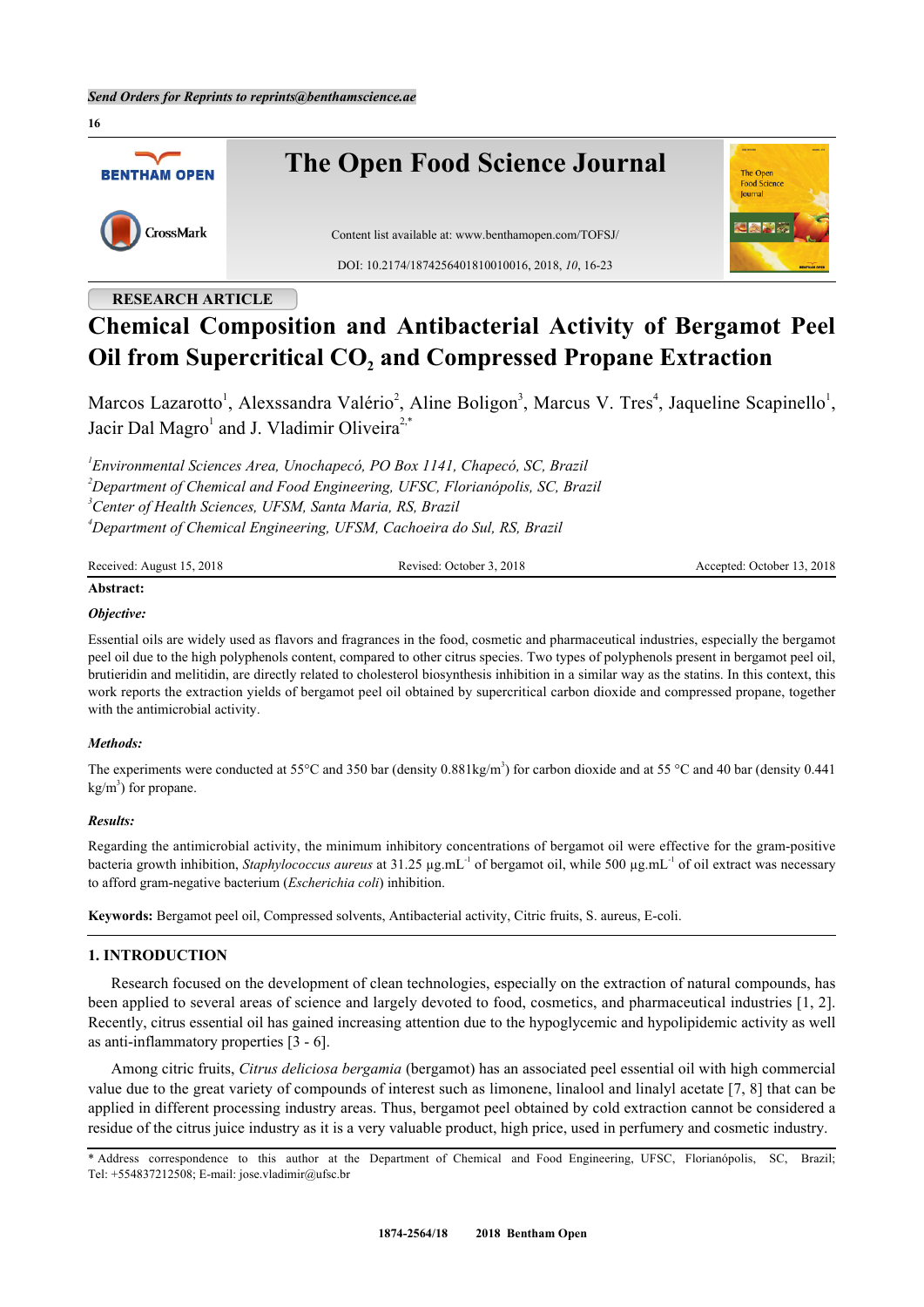

# **RESEARCH ARTICLE**

# **Chemical Composition and Antibacterial Activity of Bergamot Peel Oil from Supercritical CO<sup>2</sup> and Compressed Propane Extraction**

Marcos Lazarotto<sup>[1](#page-0-0)</sup>, Alexssandra Valério<sup>[2](#page-0-1)</sup>, Aline Boligon<sup>[3](#page-0-2)</sup>, Marcus V. Tres<sup>[4](#page-0-3)</sup>, Jaqueline Scapinello<sup>1</sup>, Jacir Dal Magro<sup>[1](#page-0-0)</sup> and J. Vladimir Oliveira<sup>[2,](#page-0-1)[\\*](#page-0-4)</sup>

<span id="page-0-2"></span><span id="page-0-1"></span><span id="page-0-0"></span> *Environmental Sciences Area, Unochapecó, PO Box 1141, Chapecó, SC, Brazil Department of Chemical and Food Engineering, UFSC, Florianópolis, SC, Brazil Center of Health Sciences, UFSM, Santa Maria, RS, Brazil Department of Chemical Engineering, UFSM, Cachoeira do Sul, RS, Brazil*

<span id="page-0-3"></span>

| Received: August 15, 2018 | Revised: October 3, 2018 | Accepted: October 13, 2018 |
|---------------------------|--------------------------|----------------------------|
|                           |                          |                            |

# **Abstract:**

**16**

#### *Objective:*

Essential oils are widely used as flavors and fragrances in the food, cosmetic and pharmaceutical industries, especially the bergamot peel oil due to the high polyphenols content, compared to other citrus species. Two types of polyphenols present in bergamot peel oil, brutieridin and melitidin, are directly related to cholesterol biosynthesis inhibition in a similar way as the statins. In this context, this work reports the extraction yields of bergamot peel oil obtained by supercritical carbon dioxide and compressed propane, together with the antimicrobial activity.

#### *Methods:*

The experiments were conducted at 55 $^{\circ}$ C and 350 bar (density 0.881kg/m<sup>3</sup>) for carbon dioxide and at 55  $^{\circ}$ C and 40 bar (density 0.441)  $kg/m<sup>3</sup>$ ) for propane.

#### *Results:*

Regarding the antimicrobial activity, the minimum inhibitory concentrations of bergamot oil were effective for the gram-positive bacteria growth inhibition, *Staphylococcus aureus* at 31.25 µg.mL-1 of bergamot oil, while 500 µg.mL-1 of oil extract was necessary to afford gram-negative bacterium (*Escherichia coli*) inhibition.

**Keywords:** Bergamot peel oil, Compressed solvents, Antibacterial activity, Citric fruits, S. aureus, E-coli.

#### **1. INTRODUCTION**

Research focused on the development of clean technologies, especially on the extraction of natural compounds, has been applied to several areas of science and largely devoted to food, cosmetics, and pharmaceutical industries [[1](#page-5-0), [2\]](#page-5-1). Recently, citrus essential oil has gained increasing attention due to the hypoglycemic and hypolipidemic activity as well as anti-inflammatory properties [[3](#page-5-2) - [6\]](#page-5-3).

Among citric fruits, *Citrus deliciosa bergamia* (bergamot) has an associated peel essential oil with high commercial value due to the great variety of compounds of interest such as limonene, linalool and linalyl acetate [[7,](#page-5-4) [8](#page-5-5)] that can be applied in different processing industry areas. Thus, bergamot peel obtained by cold extraction cannot be considered a residue of the citrus juice industry as it is a very valuable product, high price, used in perfumery and cosmetic industry.

<span id="page-0-4"></span>\* Address correspondence to this author at the Department of Chemical and Food Engineering, UFSC, Florianópolis, SC, Brazil; Tel: +554837212508; E-mail: [jose.vladimir@ufsc.br](mailto:jose.vladimir@ufsc.br)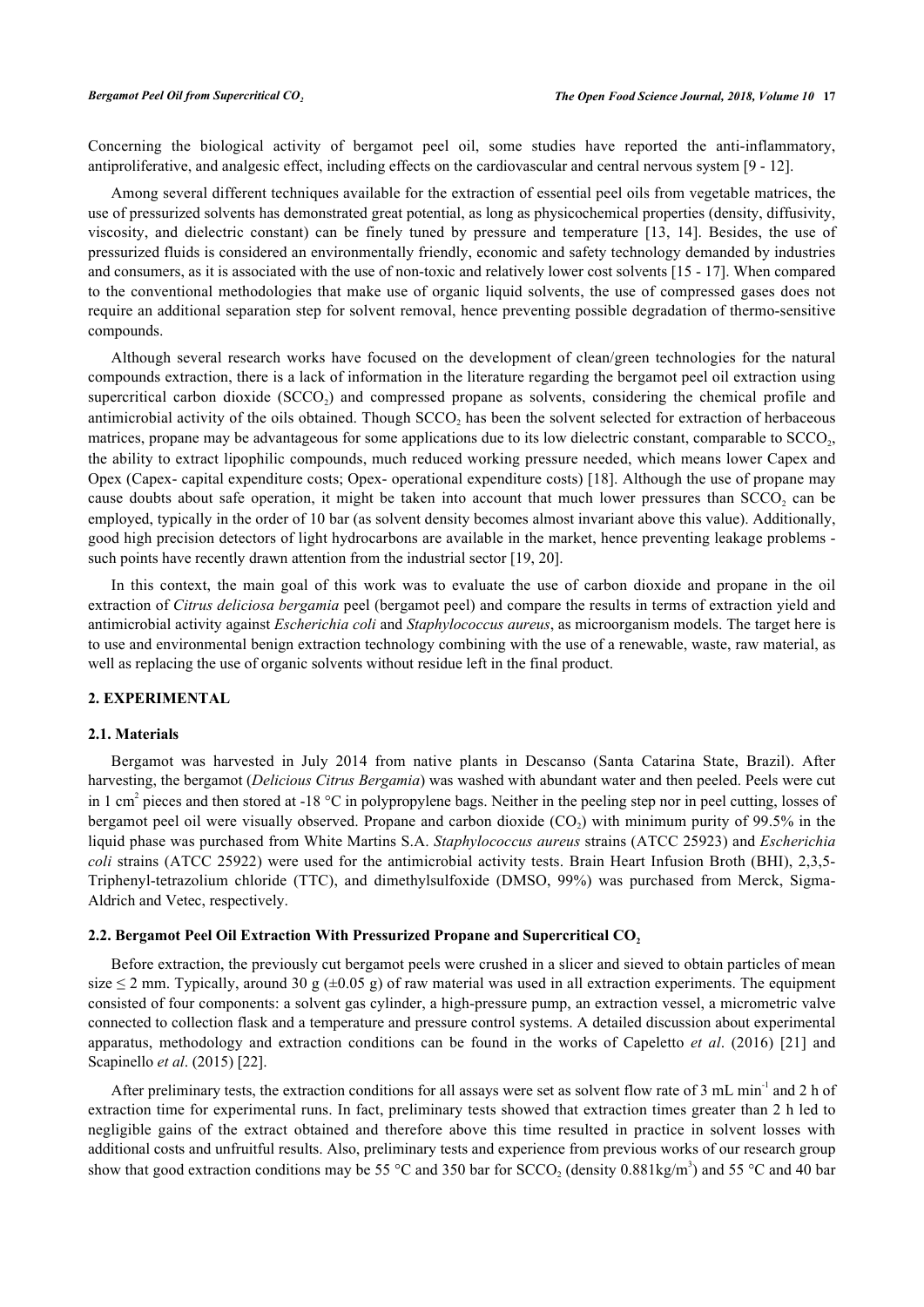Concerning the biological activity of bergamot peel oil, some studies have reported the anti-inflammatory, antiproliferative, and analgesic effect, including effects on the cardiovascular and central nervous system [\[9](#page-5-6) - [12\]](#page-5-7).

Among several different techniques available for the extraction of essential peel oils from vegetable matrices, the use of pressurized solvents has demonstrated great potential, as long as physicochemical properties (density, diffusivity, viscosity, and dielectric constant) can be finely tuned by pressure and temperature [\[13](#page-5-8), [14\]](#page-5-9). Besides, the use of pressurized fluids is considered an environmentally friendly, economic and safety technology demanded by industries and consumers, as it is associated with the use of non-toxic and relatively lower cost solvents [[15](#page-5-10) - [17](#page-6-0)]. When compared to the conventional methodologies that make use of organic liquid solvents, the use of compressed gases does not require an additional separation step for solvent removal, hence preventing possible degradation of thermo-sensitive compounds.

Although several research works have focused on the development of clean/green technologies for the natural compounds extraction, there is a lack of information in the literature regarding the bergamot peel oil extraction using supercritical carbon dioxide (SCCO<sub>2</sub>) and compressed propane as solvents, considering the chemical profile and antimicrobial activity of the oils obtained. Though  $SCCO_2$  has been the solvent selected for extraction of herbaceous matrices, propane may be advantageous for some applications due to its low dielectric constant, comparable to  $SCCO<sub>2</sub>$ , the ability to extract lipophilic compounds, much reduced working pressure needed, which means lower Capex and Opex (Capex- capital expenditure costs; Opex- operational expenditure costs) [\[18](#page-6-1)]. Although the use of propane may cause doubts about safe operation, it might be taken into account that much lower pressures than  $SCCO<sub>2</sub>$  can be employed, typically in the order of 10 bar (as solvent density becomes almost invariant above this value). Additionally, good high precision detectors of light hydrocarbons are available in the market, hence preventing leakage problems - such points have recently drawn attention from the industrial sector [\[19](#page-6-2), [20](#page-6-3)].

In this context, the main goal of this work was to evaluate the use of carbon dioxide and propane in the oil extraction of *Citrus deliciosa bergamia* peel (bergamot peel) and compare the results in terms of extraction yield and antimicrobial activity against *Escherichia coli* and *Staphylococcus aureus*, as microorganism models. The target here is to use and environmental benign extraction technology combining with the use of a renewable, waste, raw material, as well as replacing the use of organic solvents without residue left in the final product.

#### **2. EXPERIMENTAL**

#### **2.1. Materials**

Bergamot was harvested in July 2014 from native plants in Descanso (Santa Catarina State, Brazil). After harvesting, the bergamot (*Delicious Citrus Bergamia*) was washed with abundant water and then peeled. Peels were cut in 1 cm<sup>2</sup> pieces and then stored at -18 °C in polypropylene bags. Neither in the peeling step nor in peel cutting, losses of bergamot peel oil were visually observed. Propane and carbon dioxide  $(CO_2)$  with minimum purity of 99.5% in the liquid phase was purchased from White Martins S.A. *Staphylococcus aureus* strains (ATCC 25923) and *Escherichia coli* strains (ATCC 25922) were used for the antimicrobial activity tests. Brain Heart Infusion Broth (BHI), 2,3,5-Triphenyl-tetrazolium chloride (TTC), and dimethylsulfoxide (DMSO, 99%) was purchased from Merck, Sigma-Aldrich and Vetec, respectively.

#### **2.2. Bergamot Peel Oil Extraction With Pressurized Propane and Supercritical CO<sup>2</sup>**

Before extraction, the previously cut bergamot peels were crushed in a slicer and sieved to obtain particles of mean size  $\leq$  2 mm. Typically, around 30 g ( $\pm$ 0.05 g) of raw material was used in all extraction experiments. The equipment consisted of four components: a solvent gas cylinder, a high-pressure pump, an extraction vessel, a micrometric valve connected to collection flask and a temperature and pressure control systems. A detailed discussion about experimental apparatus, methodology and extraction conditions can be found in the works of Capeletto *et al*. (2016) [\[21](#page-6-4)] and Scapinello *et al*. (2015) [\[22](#page-6-5)].

After preliminary tests, the extraction conditions for all assays were set as solvent flow rate of 3 mL min<sup>-1</sup> and 2 h of extraction time for experimental runs. In fact, preliminary tests showed that extraction times greater than 2 h led to negligible gains of the extract obtained and therefore above this time resulted in practice in solvent losses with additional costs and unfruitful results. Also, preliminary tests and experience from previous works of our research group show that good extraction conditions may be 55 °C and 350 bar for SCCO<sub>2</sub> (density 0.881kg/m<sup>3</sup>) and 55 °C and 40 bar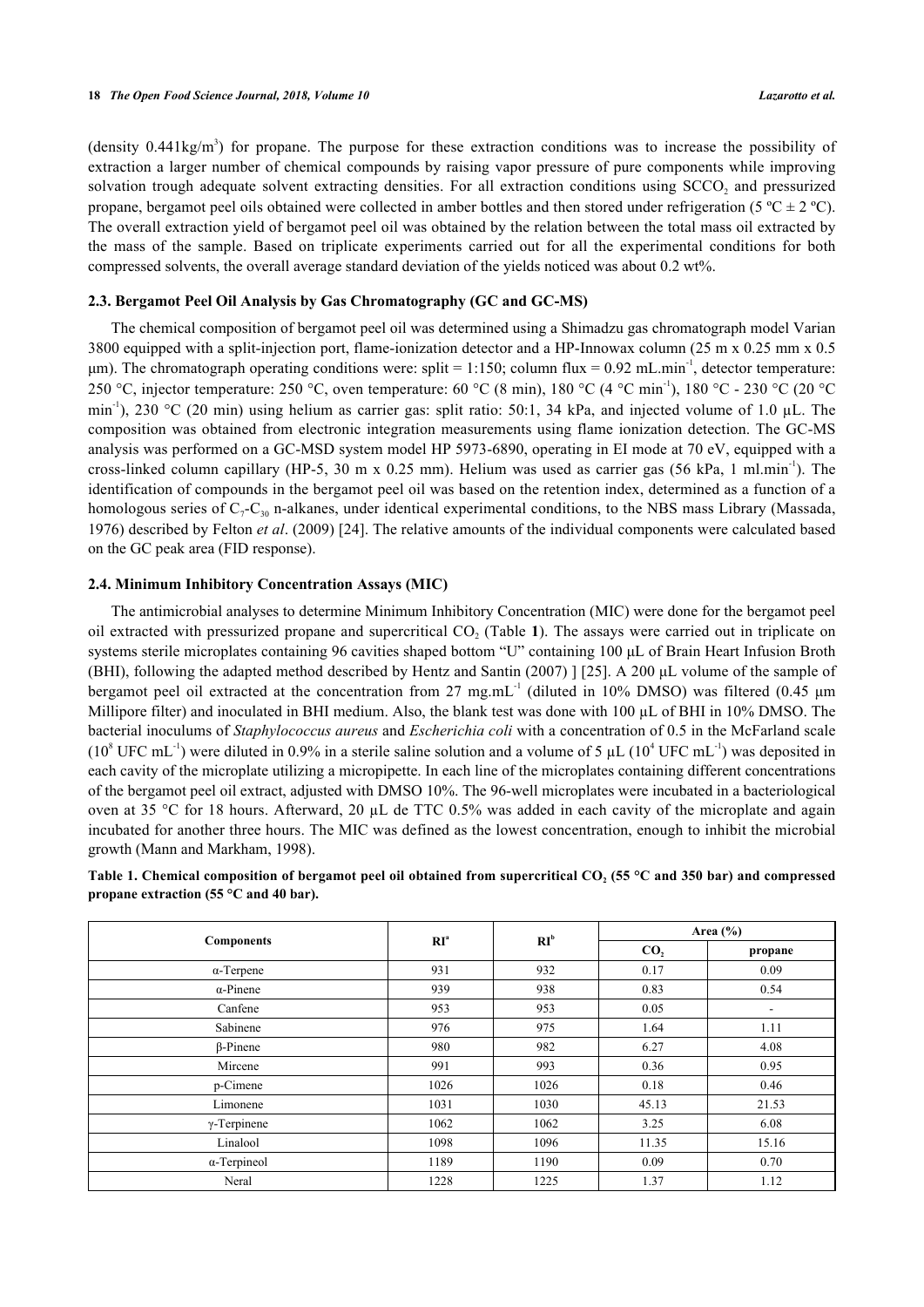(density  $0.441 \text{kg/m}^3$ ) for propane. The purpose for these extraction conditions was to increase the possibility of extraction a larger number of chemical compounds by raising vapor pressure of pure components while improving solvation trough adequate solvent extracting densities. For all extraction conditions using  $\mathrm{SCCO}_2$  and pressurized propane, bergamot peel oils obtained were collected in amber bottles and then stored under refrigeration (5 °C  $\pm$  2 °C). The overall extraction yield of bergamot peel oil was obtained by the relation between the total mass oil extracted by the mass of the sample. Based on triplicate experiments carried out for all the experimental conditions for both compressed solvents, the overall average standard deviation of the yields noticed was about 0.2 wt%.

### **2.3. Bergamot Peel Oil Analysis by Gas Chromatography (GC and GC-MS)**

The chemical composition of bergamot peel oil was determined using a Shimadzu gas chromatograph model Varian 3800 equipped with a split-injection port, flame-ionization detector and a HP-Innowax column (25 m x 0.25 mm x 0.5 μm). The chromatograph operating conditions were: split = 1:150; column flux = 0.92 mL.min<sup>-1</sup>, detector temperature: 250 °C, injector temperature: 250 °C, oven temperature: 60 °C (8 min), 180 °C (4 °C min<sup>-1</sup>), 180 °C - 230 °C (20 °C min-1), 230 °C (20 min) using helium as carrier gas: split ratio: 50:1, 34 kPa, and injected volume of 1.0 µL. The composition was obtained from electronic integration measurements using flame ionization detection. The GC-MS analysis was performed on a GC-MSD system model HP 5973-6890, operating in EI mode at 70 eV, equipped with a cross-linked column capillary (HP-5, 30 m x 0.25 mm). Helium was used as carrier gas (56 kPa, 1 ml.min<sup>-1</sup>). The identification of compounds in the bergamot peel oil was based on the retention index, determined as a function of a homologous series of  $C_7 - C_{30}$  n-alkanes, under identical experimental conditions, to the NBS mass Library (Massada, 1976) described by Felton *et al*. (2009) [[24\]](#page-6-6). The relative amounts of the individual components were calculated based on the GC peak area (FID response).

#### **2.4. Minimum Inhibitory Concentration Assays (MIC)**

The antimicrobial analyses to determine Minimum Inhibitory Concentration (MIC) were done for the bergamot peel oil extracted with pressurized propane and supercritical  $CO<sub>2</sub>$  (Table [1](#page-2-0)). The assays were carried out in triplicate on systems sterile microplates containing 96 cavities shaped bottom "U" containing 100 μL of Brain Heart Infusion Broth (BHI), following the adapted method described by Hentz and Santin (2007) ] [[25](#page-6-7)]. A 200 μL volume of the sample of bergamot peel oil extracted at the concentration from 27 mg.mL<sup>-1</sup> (diluted in 10% DMSO) was filtered (0.45  $\mu$ m Millipore filter) and inoculated in BHI medium. Also, the blank test was done with 100 µL of BHI in 10% DMSO. The bacterial inoculums of *Staphylococcus aureus* and *Escherichia coli* with a concentration of 0.5 in the McFarland scale ( $10^8$  UFC mL<sup>-1</sup>) were diluted in 0.9% in a sterile saline solution and a volume of 5 µL ( $10^4$  UFC mL<sup>-1</sup>) was deposited in each cavity of the microplate utilizing a micropipette. In each line of the microplates containing different concentrations of the bergamot peel oil extract, adjusted with DMSO 10%. The 96-well microplates were incubated in a bacteriological oven at 35 °C for 18 hours. Afterward, 20 µL de TTC 0.5% was added in each cavity of the microplate and again incubated for another three hours. The MIC was defined as the lowest concentration, enough to inhibit the microbial growth (Mann and Markham, 1998).

<span id="page-2-0"></span>

| Table 1. Chemical composition of bergamot peel oil obtained from supercritical CO, (55 °C and 350 bar) and compressed |  |
|-----------------------------------------------------------------------------------------------------------------------|--|
| propane extraction (55 $\mathrm{^{\circ}C}$ and 40 bar).                                                              |  |
|                                                                                                                       |  |

|                     |                 |                 | Area $(\% )$    |                          |  |
|---------------------|-----------------|-----------------|-----------------|--------------------------|--|
| <b>Components</b>   | RI <sup>a</sup> | RI <sup>b</sup> | CO <sub>2</sub> | propane                  |  |
| $\alpha$ -Terpene   | 931             | 932             | 0.17            | 0.09                     |  |
| $\alpha$ -Pinene    | 939             | 938             | 0.83            | 0.54                     |  |
| Canfene             | 953             | 953             | 0.05            | $\overline{\phantom{a}}$ |  |
| Sabinene            | 976             | 975             | 1.64            | 1.11                     |  |
| $\beta$ -Pinene     | 980             | 982             | 6.27            | 4.08                     |  |
| Mircene             | 991             | 993             | 0.36            | 0.95                     |  |
| p-Cimene            | 1026            | 1026            | 0.18            | 0.46                     |  |
| Limonene            | 1031            | 1030            | 45.13           | 21.53                    |  |
| $\gamma$ -Terpinene | 1062            | 1062            | 3.25            | 6.08                     |  |
| Linalool            | 1098            | 1096            | 11.35           | 15.16                    |  |
| $\alpha$ -Terpineol | 1189            | 1190            | 0.09            | 0.70                     |  |
| Neral               | 1228            | 1225            | 1.37            | 1.12                     |  |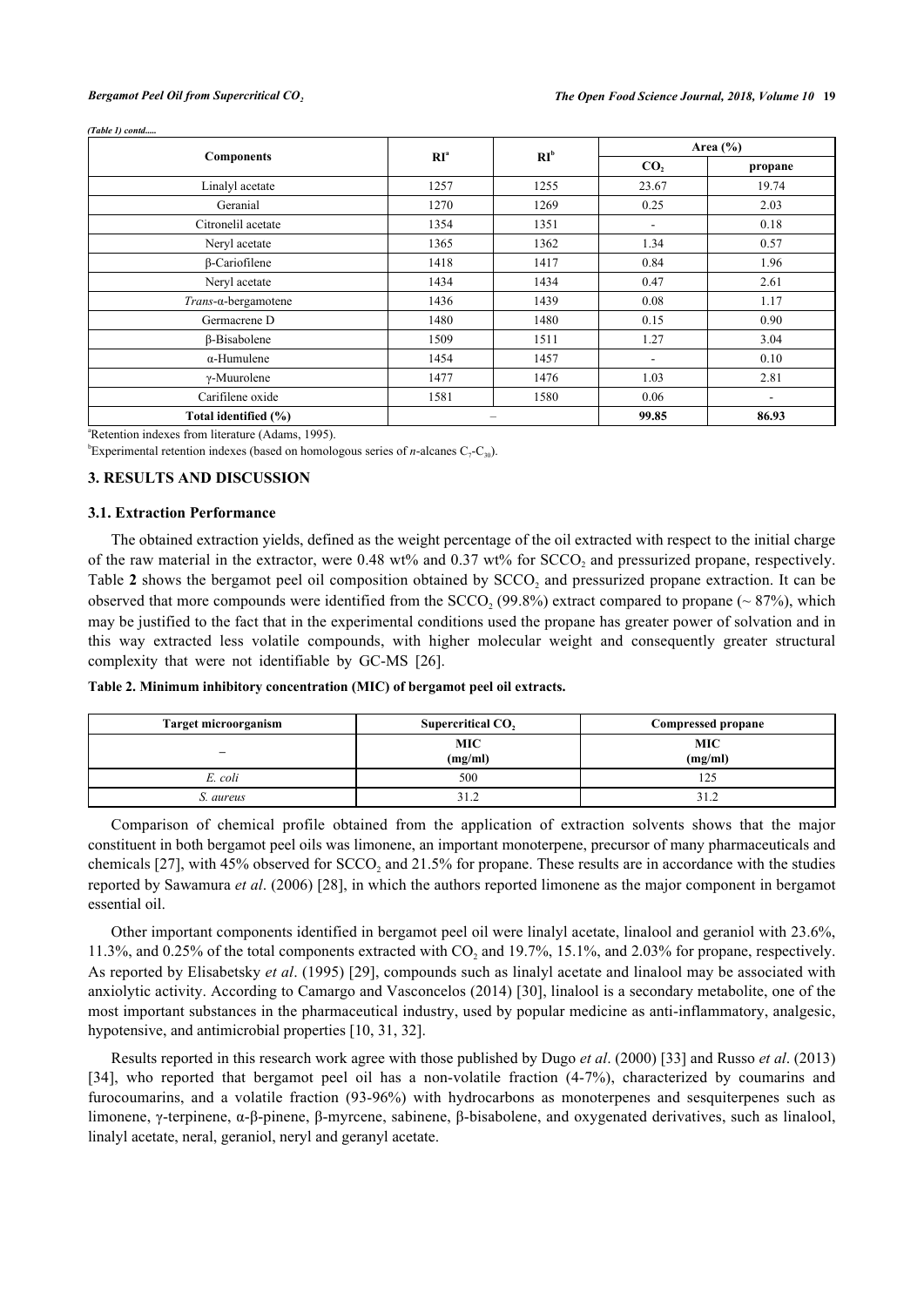#### *(Table 1) contd.....*

|                      |                          | RI <sup>b</sup> | Area $(\% )$             |         |  |
|----------------------|--------------------------|-----------------|--------------------------|---------|--|
| <b>Components</b>    | RI <sup>a</sup>          |                 | CO <sub>2</sub>          | propane |  |
| Linalyl acetate      | 1257                     | 1255            | 23.67                    | 19.74   |  |
| Geranial             | 1270                     | 1269            | 0.25                     | 2.03    |  |
| Citronelil acetate   | 1354                     | 1351            | $\overline{\phantom{a}}$ | 0.18    |  |
| Neryl acetate        | 1365                     | 1362            | 1.34                     | 0.57    |  |
| $\beta$ -Cariofilene | 1418                     | 1417            | 0.84                     | 1.96    |  |
| Neryl acetate        | 1434                     | 1434            | 0.47                     | 2.61    |  |
| Trans-α-bergamotene  | 1436                     | 1439            | 0.08                     | 1.17    |  |
| Germacrene D         | 1480                     | 1480            | 0.15                     | 0.90    |  |
| $\beta$ -Bisabolene  | 1509                     | 1511            | 1.27                     | 3.04    |  |
| $\alpha$ -Humulene   | 1454                     | 1457            | $\overline{\phantom{a}}$ | 0.10    |  |
| $\gamma$ -Muurolene  | 1477                     | 1476            | 1.03                     | 2.81    |  |
| Carifilene oxide     | 1581                     | 1580            | 0.06                     | ۰       |  |
| Total identified (%) | $\overline{\phantom{0}}$ |                 | 99.85                    | 86.93   |  |

<sup>a</sup>Retention indexes from literature (Adams, 1995).

<sup>b</sup>Experimental retention indexes (based on homologous series of *n*-alcanes  $C_7-C_{30}$ ).

#### **3. RESULTS AND DISCUSSION**

#### **3.1. Extraction Performance**

The obtained extraction yields, defined as the weight percentage of the oil extracted with respect to the initial charge of the raw material in the extractor, were  $0.48$  wt% and  $0.37$  wt% for  $SCCO<sub>2</sub>$  and pressurized propane, respectively. Table [2](#page-3-0) shows the bergamot peel oil composition obtained by SCCO<sub>2</sub> and pressurized propane extraction. It can be observed that more compounds were identified from the  $SCCO_2$  (99.8%) extract compared to propane ( $\sim$  87%), which may be justified to the fact that in the experimental conditions used the propane has greater power of solvation and in this way extracted less volatile compounds, with higher molecular weight and consequently greater structural complexity that were not identifiable by GC-MS[[26\]](#page-6-8).

<span id="page-3-0"></span>

|  | Table 2. Minimum inhibitory concentration (MIC) of bergamot peel oil extracts. |  |  |  |
|--|--------------------------------------------------------------------------------|--|--|--|
|  |                                                                                |  |  |  |

| <b>Target microorganism</b> | Supercritical CO,     | Compressed propane    |
|-----------------------------|-----------------------|-----------------------|
| -                           | <b>MIC</b><br>(mg/ml) | <b>MIC</b><br>(mg/ml) |
| E. coli                     | 500                   | 125                   |
| S. aureus                   |                       |                       |

Comparison of chemical profile obtained from the application of extraction solvents shows that the major constituent in both bergamot peel oils was limonene, an important monoterpene, precursor of many pharmaceuticals and chemicals [[27](#page-6-9)], with 45% observed for  $SCCO<sub>2</sub>$  and 21.5% for propane. These results are in accordance with the studies reported by Sawamura *et al*. (2006) [[28\]](#page-6-10), in which the authors reported limonene as the major component in bergamot essential oil.

Other important components identified in bergamot peel oil were linalyl acetate, linalool and geraniol with 23.6%, 11.3%, and 0.25% of the total components extracted with  $CO_2$  and 19.7%, 15.1%, and 2.03% for propane, respectively. As reported by Elisabetsky *et al*. (1995) [\[29\]](#page-6-11), compounds such as linalyl acetate and linalool may be associated with anxiolytic activity. According to Camargo and Vasconcelos (2014) [\[30](#page-6-12)], linalool is a secondary metabolite, one of the most important substances in the pharmaceutical industry, used by popular medicine as anti-inflammatory, analgesic, hypotensive, and antimicrobial properties [[10,](#page-5-11) [31,](#page-6-13) [32\]](#page-6-14).

Results reported in this research work agree with those published by Dugo *et al*. (2000) [\[33](#page-6-15)] and Russo *et al*. (2013) [\[34](#page-6-16)], who reported that bergamot peel oil has a non-volatile fraction (4-7%), characterized by coumarins and furocoumarins, and a volatile fraction (93-96%) with hydrocarbons as monoterpenes and sesquiterpenes such as limonene, γ-terpinene, α-β-pinene, β-myrcene, sabinene, β-bisabolene, and oxygenated derivatives, such as linalool, linalyl acetate, neral, geraniol, neryl and geranyl acetate.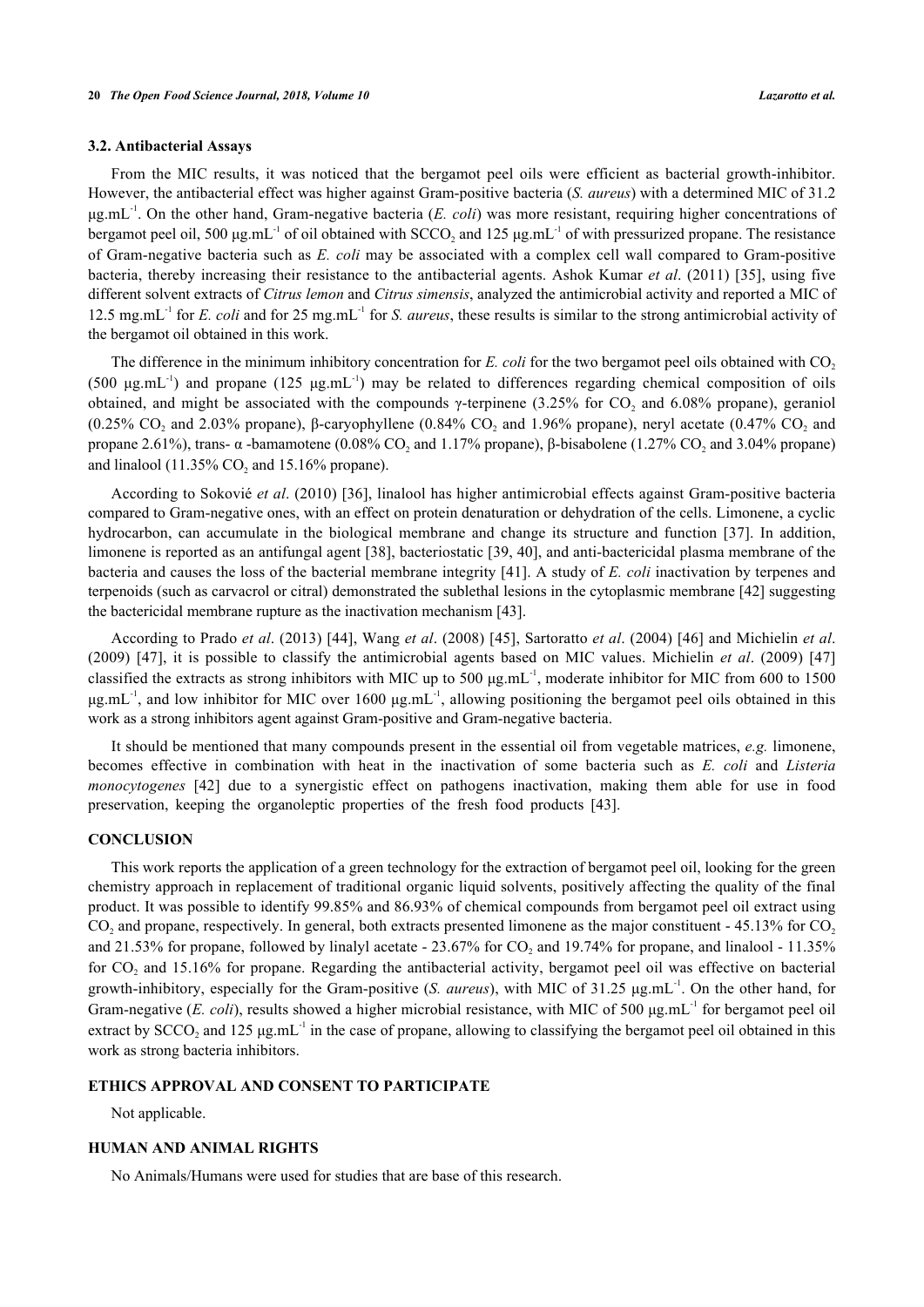#### **3.2. Antibacterial Assays**

From the MIC results, it was noticed that the bergamot peel oils were efficient as bacterial growth-inhibitor. However, the antibacterial effect was higher against Gram-positive bacteria (*S. aureus*) with a determined MIC of 31.2 μg.mL-1. On the other hand, Gram-negative bacteria (*E. coli*) was more resistant, requiring higher concentrations of bergamot peel oil, 500  $\mu$ g.mL<sup>-1</sup> of oil obtained with SCCO<sub>2</sub> and 125  $\mu$ g.mL<sup>-1</sup> of with pressurized propane. The resistance of Gram-negative bacteria such as *E. coli* may be associated with a complex cell wall compared to Gram-positive bacteria, thereby increasing their resistance to the antibacterial agents. Ashok Kumar *et al*. (2011) [\[35](#page-6-17)], using five different solvent extracts of *Citrus lemon* and *Citrus simensis*, analyzed the antimicrobial activity and reported a MIC of 12.5 mg.mL-1 for *E. coli* and for 25 mg.mL-1 for *S. aureus*, these results is similar to the strong antimicrobial activity of the bergamot oil obtained in this work.

The difference in the minimum inhibitory concentration for *E. coli* for the two bergamot peel oils obtained with CO<sub>2</sub> (500  $\mu$ g.mL<sup>-1</sup>) and propane (125  $\mu$ g.mL<sup>-1</sup>) may be related to differences regarding chemical composition of oils obtained, and might be associated with the compounds γ-terpinene (3.25% for  $CO_2$  and 6.08% propane), geraniol (0.25% CO<sub>2</sub> and 2.03% propane), β-caryophyllene (0.84% CO<sub>2</sub> and 1.96% propane), neryl acetate (0.47% CO<sub>2</sub> and propane 2.61%), trans- α -bamamotene (0.08% CO<sub>2</sub> and 1.17% propane), β-bisabolene (1.27% CO<sub>2</sub> and 3.04% propane) and linalool  $(11.35\% \text{ CO}_2 \text{ and } 15.16\% \text{ propane}).$ 

According to Sokovié *et al*. (2010) [[36\]](#page-6-18), linalool has higher antimicrobial effects against Gram-positive bacteria compared to Gram-negative ones, with an effect on protein denaturation or dehydration of the cells. Limonene, a cyclic hydrocarbon, can accumulate in the biological membrane and change its structure and function[[37\]](#page-6-19). In addition, limonene is reported as an antifungal agent [[38\]](#page-7-0), bacteriostatic [[39,](#page-7-1) [40](#page-7-2)], and anti-bactericidal plasma membrane of the bacteria and causes the loss of the bacterial membrane integrity [\[41](#page-7-3)]. A study of *E. coli* inactivation by terpenes and terpenoids (such as carvacrol or citral) demonstrated the sublethal lesions in the cytoplasmic membrane [[42\]](#page-7-4) suggesting the bactericidal membrane rupture as the inactivation mechanism [\[43](#page-7-5)].

According to Prado *et al*. (2013) [[44](#page-7-6)], Wang *et al*. (2008) [[45](#page-7-7)], Sartoratto *et al*. (2004) [[46](#page-7-8)] and Michielin *et al*. (2009) [\[47\]](#page-7-9), it is possible to classify the antimicrobial agents based on MIC values. Michielin *et al*. (2009)[[47](#page-7-9)] classified the extracts as strong inhibitors with MIC up to 500  $\mu$ g.mL<sup>-1</sup>, moderate inhibitor for MIC from 600 to 1500 μg.mL<sup>-1</sup>, and low inhibitor for MIC over 1600 μg.mL<sup>-1</sup>, allowing positioning the bergamot peel oils obtained in this work as a strong inhibitors agent against Gram-positive and Gram-negative bacteria.

It should be mentioned that many compounds present in the essential oil from vegetable matrices, *e.g.* limonene, becomes effective in combination with heat in the inactivation of some bacteria such as *E. coli* and *Listeria monocytogenes* [\[42\]](#page-7-4) due to a synergistic effect on pathogens inactivation, making them able for use in food preservation, keeping the organoleptic properties of the fresh food products [\[43](#page-7-5)].

#### **CONCLUSION**

This work reports the application of a green technology for the extraction of bergamot peel oil, looking for the green chemistry approach in replacement of traditional organic liquid solvents, positively affecting the quality of the final product. It was possible to identify 99.85% and 86.93% of chemical compounds from bergamot peel oil extract using  $CO<sub>2</sub>$  and propane, respectively. In general, both extracts presented limonene as the major constituent - 45.13% for  $CO<sub>2</sub>$ and 21.53% for propane, followed by linalyl acetate - 23.67% for  $CO_2$  and 19.74% for propane, and linalool - 11.35% for  $CO<sub>2</sub>$  and 15.16% for propane. Regarding the antibacterial activity, bergamot peel oil was effective on bacterial growth-inhibitory, especially for the Gram-positive (*S. aureus*), with MIC of 31.25 μg.mL-1. On the other hand, for Gram-negative (*E. coli*), results showed a higher microbial resistance, with MIC of 500 μg.mL<sup>-1</sup> for bergamot peel oil extract by  $SCCO_2$  and 125  $\mu$ g.mL<sup>-1</sup> in the case of propane, allowing to classifying the bergamot peel oil obtained in this work as strong bacteria inhibitors.

#### **ETHICS APPROVAL AND CONSENT TO PARTICIPATE**

Not applicable.

## **HUMAN AND ANIMAL RIGHTS**

No Animals/Humans were used for studies that are base of this research.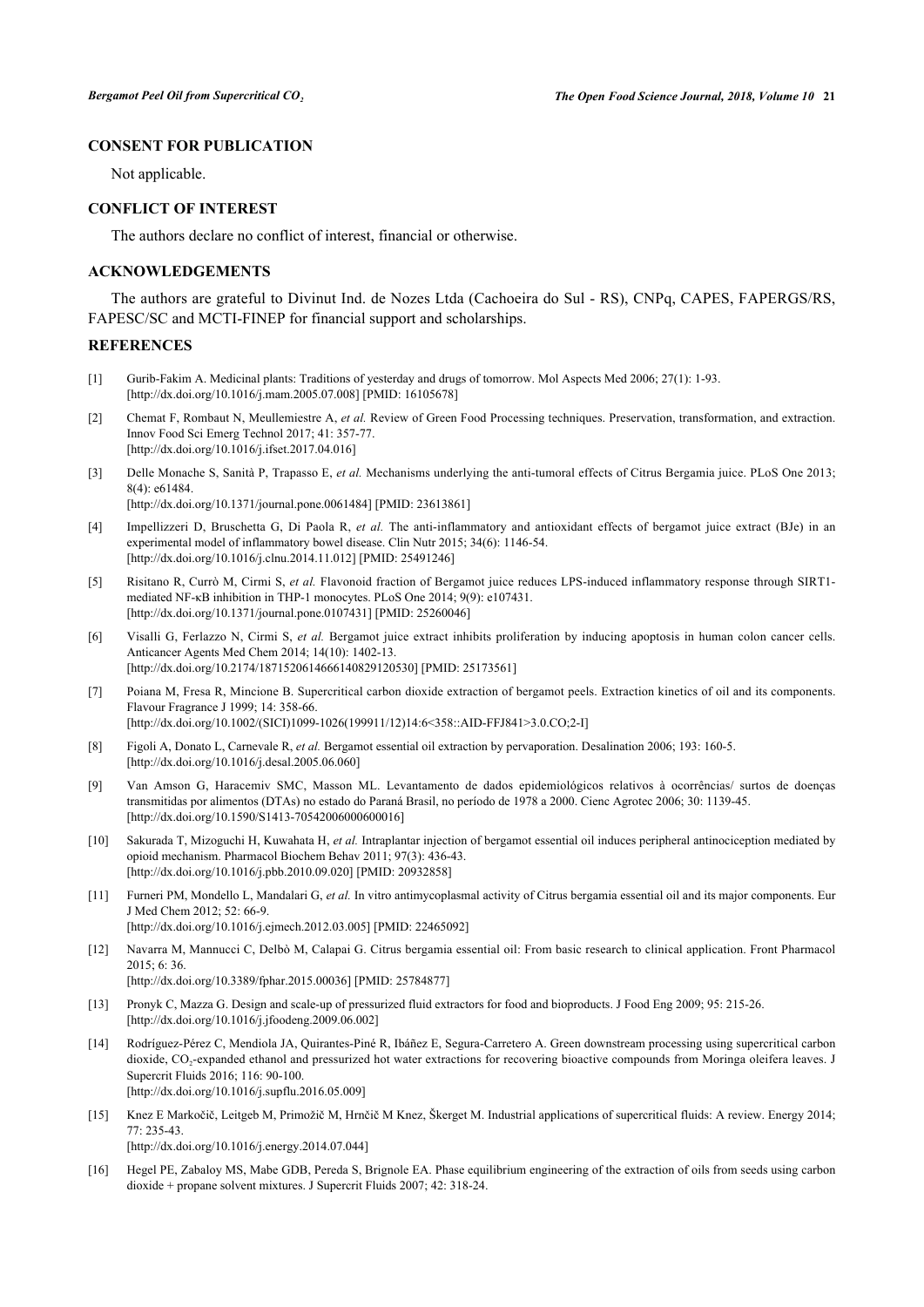# **CONSENT FOR PUBLICATION**

Not applicable.

#### **CONFLICT OF INTEREST**

The authors declare no conflict of interest, financial or otherwise.

#### **ACKNOWLEDGEMENTS**

The authors are grateful to Divinut Ind. de Nozes Ltda (Cachoeira do Sul - RS), CNPq, CAPES, FAPERGS/RS, FAPESC/SC and MCTI-FINEP for financial support and scholarships.

#### **REFERENCES**

- <span id="page-5-0"></span>[1] Gurib-Fakim A. Medicinal plants: Traditions of yesterday and drugs of tomorrow. Mol Aspects Med 2006; 27(1): 1-93. [\[http://dx.doi.org/10.1016/j.mam.2005.07.008](http://dx.doi.org/10.1016/j.mam.2005.07.008)] [PMID: [16105678\]](http://www.ncbi.nlm.nih.gov/pubmed/16105678)
- <span id="page-5-1"></span>[2] Chemat F, Rombaut N, Meullemiestre A, *et al.* Review of Green Food Processing techniques. Preservation, transformation, and extraction. Innov Food Sci Emerg Technol 2017; 41: 357-77. [\[http://dx.doi.org/10.1016/j.ifset.2017.04.016\]](http://dx.doi.org/10.1016/j.ifset.2017.04.016)
- <span id="page-5-2"></span>[3] Delle Monache S, Sanità P, Trapasso E, *et al.* Mechanisms underlying the anti-tumoral effects of Citrus Bergamia juice. PLoS One 2013; 8(4): e61484.

[\[http://dx.doi.org/10.1371/journal.pone.0061484](http://dx.doi.org/10.1371/journal.pone.0061484)] [PMID: [23613861\]](http://www.ncbi.nlm.nih.gov/pubmed/23613861)

- [4] Impellizzeri D, Bruschetta G, Di Paola R, *et al.* The anti-inflammatory and antioxidant effects of bergamot juice extract (BJe) in an experimental model of inflammatory bowel disease. Clin Nutr 2015; 34(6): 1146-54. [\[http://dx.doi.org/10.1016/j.clnu.2014.11.012\]](http://dx.doi.org/10.1016/j.clnu.2014.11.012) [PMID: [25491246](http://www.ncbi.nlm.nih.gov/pubmed/25491246)]
- [5] Risitano R, Currò M, Cirmi S, *et al.* Flavonoid fraction of Bergamot juice reduces LPS-induced inflammatory response through SIRT1 mediated NF-κB inhibition in THP-1 monocytes. PLoS One 2014; 9(9): e107431. [\[http://dx.doi.org/10.1371/journal.pone.0107431](http://dx.doi.org/10.1371/journal.pone.0107431)] [PMID: [25260046\]](http://www.ncbi.nlm.nih.gov/pubmed/25260046)
- <span id="page-5-3"></span>[6] Visalli G, Ferlazzo N, Cirmi S, *et al.* Bergamot juice extract inhibits proliferation by inducing apoptosis in human colon cancer cells. Anticancer Agents Med Chem 2014; 14(10): 1402-13. [\[http://dx.doi.org/10.2174/1871520614666140829120530\]](http://dx.doi.org/10.2174/1871520614666140829120530) [PMID: [25173561](http://www.ncbi.nlm.nih.gov/pubmed/25173561)]
- <span id="page-5-4"></span>[7] Poiana M, Fresa R, Mincione B. Supercritical carbon dioxide extraction of bergamot peels. Extraction kinetics of oil and its components. Flavour Fragrance J 1999; 14: 358-66. [\[http://dx.doi.org/10.1002/\(SICI\)1099-1026\(199911/12\)14:6<358::AID-FFJ841>3.0.CO;2-I\]](http://dx.doi.org/10.1002/(SICI)1099-1026(199911/12)14:6<358::AID-FFJ841>3.0.CO;2-I)
- <span id="page-5-5"></span>[8] Figoli A, Donato L, Carnevale R, *et al.* Bergamot essential oil extraction by pervaporation. Desalination 2006; 193: 160-5. [\[http://dx.doi.org/10.1016/j.desal.2005.06.060](http://dx.doi.org/10.1016/j.desal.2005.06.060)]
- <span id="page-5-6"></span>[9] Van Amson G, Haracemiv SMC, Masson ML. Levantamento de dados epidemiológicos relativos à ocorrências/ surtos de doenças transmitidas por alimentos (DTAs) no estado do Paraná Brasil, no período de 1978 a 2000. Cienc Agrotec 2006; 30: 1139-45. [\[http://dx.doi.org/10.1590/S1413-70542006000600016\]](http://dx.doi.org/10.1590/S1413-70542006000600016)
- <span id="page-5-11"></span>[10] Sakurada T, Mizoguchi H, Kuwahata H, *et al.* Intraplantar injection of bergamot essential oil induces peripheral antinociception mediated by opioid mechanism. Pharmacol Biochem Behav 2011; 97(3): 436-43. [\[http://dx.doi.org/10.1016/j.pbb.2010.09.020](http://dx.doi.org/10.1016/j.pbb.2010.09.020)] [PMID: [20932858\]](http://www.ncbi.nlm.nih.gov/pubmed/20932858)
- [11] Furneri PM, Mondello L, Mandalari G, *et al.* In vitro antimycoplasmal activity of Citrus bergamia essential oil and its major components. Eur J Med Chem 2012; 52: 66-9. [\[http://dx.doi.org/10.1016/j.ejmech.2012.03.005](http://dx.doi.org/10.1016/j.ejmech.2012.03.005)] [PMID: [22465092\]](http://www.ncbi.nlm.nih.gov/pubmed/22465092)
- <span id="page-5-7"></span>[12] Navarra M, Mannucci C, Delbò M, Calapai G. Citrus bergamia essential oil: From basic research to clinical application. Front Pharmacol 2015; 6: 36.

[\[http://dx.doi.org/10.3389/fphar.2015.00036\]](http://dx.doi.org/10.3389/fphar.2015.00036) [PMID: [25784877](http://www.ncbi.nlm.nih.gov/pubmed/25784877)]

- <span id="page-5-8"></span>[13] Pronyk C, Mazza G. Design and scale-up of pressurized fluid extractors for food and bioproducts. J Food Eng 2009; 95: 215-26. [\[http://dx.doi.org/10.1016/j.jfoodeng.2009.06.002](http://dx.doi.org/10.1016/j.jfoodeng.2009.06.002)]
- <span id="page-5-9"></span>[14] Rodríguez-Pérez C, Mendiola JA, Quirantes-Piné R, Ibáñez E, Segura-Carretero A. Green downstream processing using supercritical carbon dioxide, CO<sub>2</sub>-expanded ethanol and pressurized hot water extractions for recovering bioactive compounds from Moringa oleifera leaves. J Supercrit Fluids 2016; 116: 90-100. [\[http://dx.doi.org/10.1016/j.supflu.2016.05.009](http://dx.doi.org/10.1016/j.supflu.2016.05.009)]
- <span id="page-5-10"></span>[15] Knez E Markočič, Leitgeb M, Primožič M, Hrnčič M Knez, Škerget M. Industrial applications of supercritical fluids: A review. Energy 2014; 77: 235-43.

[\[http://dx.doi.org/10.1016/j.energy.2014.07.044\]](http://dx.doi.org/10.1016/j.energy.2014.07.044)

[16] Hegel PE, Zabaloy MS, Mabe GDB, Pereda S, Brignole EA. Phase equilibrium engineering of the extraction of oils from seeds using carbon dioxide + propane solvent mixtures. J Supercrit Fluids 2007; 42: 318-24.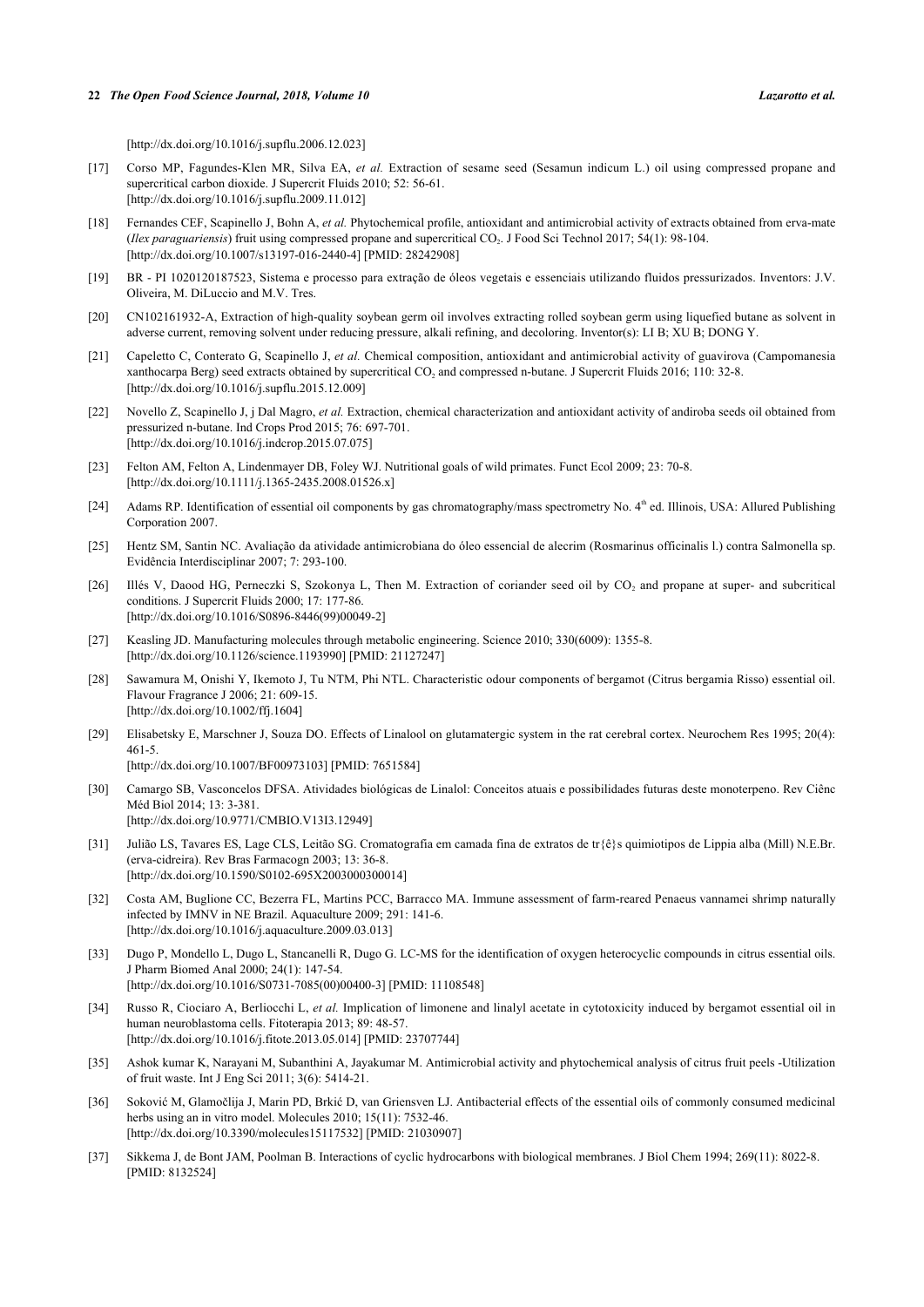[\[http://dx.doi.org/10.1016/j.supflu.2006.12.023](http://dx.doi.org/10.1016/j.supflu.2006.12.023)]

- <span id="page-6-0"></span>[17] Corso MP, Fagundes-Klen MR, Silva EA, *et al.* Extraction of sesame seed (Sesamun indicum L.) oil using compressed propane and supercritical carbon dioxide. J Supercrit Fluids 2010; 52: 56-61. [\[http://dx.doi.org/10.1016/j.supflu.2009.11.012](http://dx.doi.org/10.1016/j.supflu.2009.11.012)]
- <span id="page-6-1"></span>[18] Fernandes CEF, Scapinello J, Bohn A, *et al.* Phytochemical profile, antioxidant and antimicrobial activity of extracts obtained from erva-mate (*Ilex paraguariensis*) fruit using compressed propane and supercritical CO<sub>2</sub>. J Food Sci Technol 2017; 54(1): 98-104. [\[http://dx.doi.org/10.1007/s13197-016-2440-4\]](http://dx.doi.org/10.1007/s13197-016-2440-4) [PMID: [28242908](http://www.ncbi.nlm.nih.gov/pubmed/28242908)]
- <span id="page-6-2"></span>[19] BR - PI 1020120187523, Sistema e processo para extração de óleos vegetais e essenciais utilizando fluidos pressurizados. Inventors: J.V. Oliveira, M. DiLuccio and M.V. Tres.
- <span id="page-6-3"></span>[20] CN102161932-A, Extraction of high-quality soybean germ oil involves extracting rolled soybean germ using liquefied butane as solvent in adverse current, removing solvent under reducing pressure, alkali refining, and decoloring. Inventor(s): LI B; XU B; DONG Y.
- <span id="page-6-4"></span>[21] Capeletto C, Conterato G, Scapinello J, *et al.* Chemical composition, antioxidant and antimicrobial activity of guavirova (Campomanesia xanthocarpa Berg) seed extracts obtained by supercritical  $CO<sub>2</sub>$  and compressed n-butane. J Supercrit Fluids 2016; 110: 32-8. [\[http://dx.doi.org/10.1016/j.supflu.2015.12.009](http://dx.doi.org/10.1016/j.supflu.2015.12.009)]
- <span id="page-6-5"></span>[22] Novello Z, Scapinello J, j Dal Magro, *et al.* Extraction, chemical characterization and antioxidant activity of andiroba seeds oil obtained from pressurized n-butane. Ind Crops Prod 2015; 76: 697-701. [\[http://dx.doi.org/10.1016/j.indcrop.2015.07.075](http://dx.doi.org/10.1016/j.indcrop.2015.07.075)]
- [23] Felton AM, Felton A, Lindenmayer DB, Foley WJ. Nutritional goals of wild primates. Funct Ecol 2009; 23: 70-8. [\[http://dx.doi.org/10.1111/j.1365-2435.2008.01526.x\]](http://dx.doi.org/10.1111/j.1365-2435.2008.01526.x)
- <span id="page-6-6"></span>[24] Adams RP. Identification of essential oil components by gas chromatography/mass spectrometry No. 4<sup>th</sup> ed. Illinois, USA: Allured Publishing Corporation 2007.
- <span id="page-6-7"></span>[25] Hentz SM, Santin NC. Avaliação da atividade antimicrobiana do óleo essencial de alecrim (Rosmarinus officinalis l.) contra Salmonella sp. Evidência Interdisciplinar 2007; 7: 293-100.
- <span id="page-6-8"></span>[26] Illés V, Daood HG, Perneczki S, Szokonya L, Then M. Extraction of coriander seed oil by  $CO_2$  and propane at super- and subcritical conditions. J Supercrit Fluids 2000; 17: 177-86. [\[http://dx.doi.org/10.1016/S0896-8446\(99\)00049-2\]](http://dx.doi.org/10.1016/S0896-8446(99)00049-2)
- <span id="page-6-9"></span>[27] Keasling JD. Manufacturing molecules through metabolic engineering. Science 2010; 330(6009): 1355-8. [\[http://dx.doi.org/10.1126/science.1193990](http://dx.doi.org/10.1126/science.1193990)] [PMID: [21127247\]](http://www.ncbi.nlm.nih.gov/pubmed/21127247)
- <span id="page-6-10"></span>[28] Sawamura M, Onishi Y, Ikemoto J, Tu NTM, Phi NTL. Characteristic odour components of bergamot (Citrus bergamia Risso) essential oil. Flavour Fragrance J 2006; 21: 609-15. [\[http://dx.doi.org/10.1002/ffj.1604](http://dx.doi.org/10.1002/ffj.1604)]
- <span id="page-6-11"></span>[29] Elisabetsky E, Marschner J, Souza DO. Effects of Linalool on glutamatergic system in the rat cerebral cortex. Neurochem Res 1995; 20(4): 461-5.

[\[http://dx.doi.org/10.1007/BF00973103\]](http://dx.doi.org/10.1007/BF00973103) [PMID: [7651584](http://www.ncbi.nlm.nih.gov/pubmed/7651584)]

- <span id="page-6-12"></span>[30] Camargo SB, Vasconcelos DFSA. Atividades biológicas de Linalol: Conceitos atuais e possibilidades futuras deste monoterpeno. Rev Ciênc Méd Biol 2014; 13: 3-381. [\[http://dx.doi.org/10.9771/CMBIO.V13I3.12949](http://dx.doi.org/10.9771/CMBIO.V13I3.12949)]
- <span id="page-6-13"></span>[31] Julião LS, Tavares ES, Lage CLS, Leitão SG. Cromatografia em camada fina de extratos de tr{ê}s quimiotipos de Lippia alba (Mill) N.E.Br. (erva-cidreira). Rev Bras Farmacogn 2003; 13: 36-8. [\[http://dx.doi.org/10.1590/S0102-695X2003000300014\]](http://dx.doi.org/10.1590/S0102-695X2003000300014)
- <span id="page-6-14"></span>[32] Costa AM, Buglione CC, Bezerra FL, Martins PCC, Barracco MA. Immune assessment of farm-reared Penaeus vannamei shrimp naturally infected by IMNV in NE Brazil. Aquaculture 2009; 291: 141-6. [\[http://dx.doi.org/10.1016/j.aquaculture.2009.03.013](http://dx.doi.org/10.1016/j.aquaculture.2009.03.013)]
- <span id="page-6-15"></span>[33] Dugo P, Mondello L, Dugo L, Stancanelli R, Dugo G. LC-MS for the identification of oxygen heterocyclic compounds in citrus essential oils. J Pharm Biomed Anal 2000; 24(1): 147-54. [\[http://dx.doi.org/10.1016/S0731-7085\(00\)00400-3\]](http://dx.doi.org/10.1016/S0731-7085(00)00400-3) [PMID: [11108548](http://www.ncbi.nlm.nih.gov/pubmed/11108548)]
- <span id="page-6-16"></span>[34] Russo R, Ciociaro A, Berliocchi L, *et al.* Implication of limonene and linalyl acetate in cytotoxicity induced by bergamot essential oil in human neuroblastoma cells. Fitoterapia 2013; 89: 48-57. [\[http://dx.doi.org/10.1016/j.fitote.2013.05.014\]](http://dx.doi.org/10.1016/j.fitote.2013.05.014) [PMID: [23707744](http://www.ncbi.nlm.nih.gov/pubmed/23707744)]
- <span id="page-6-17"></span>[35] Ashok kumar K, Narayani M, Subanthini A, Jayakumar M. Antimicrobial activity and phytochemical analysis of citrus fruit peels -Utilization of fruit waste. Int J Eng Sci 2011; 3(6): 5414-21.
- <span id="page-6-18"></span>[36] Soković M, Glamočlija J, Marin PD, Brkić D, van Griensven LJ. Antibacterial effects of the essential oils of commonly consumed medicinal herbs using an in vitro model. Molecules 2010; 15(11): 7532-46. [\[http://dx.doi.org/10.3390/molecules15117532](http://dx.doi.org/10.3390/molecules15117532)] [PMID: [21030907\]](http://www.ncbi.nlm.nih.gov/pubmed/21030907)
- <span id="page-6-19"></span>[37] Sikkema J, de Bont JAM, Poolman B. Interactions of cyclic hydrocarbons with biological membranes. J Biol Chem 1994; 269(11): 8022-8. [PMID: [8132524\]](http://www.ncbi.nlm.nih.gov/pubmed/8132524)